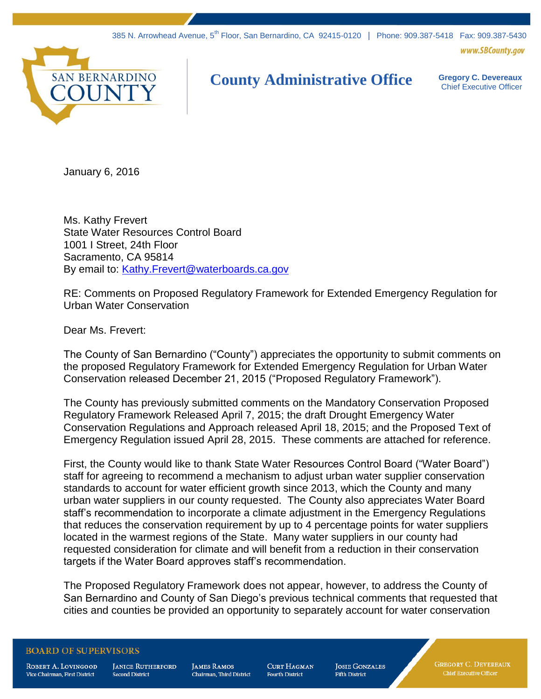www.SBCounty.gov



## **County Administrative Office Gregory C. Devereaux**

Chief Executive Officer

January 6, 2016

Ms. Kathy Frevert State Water Resources Control Board 1001 I Street, 24th Floor Sacramento, CA 95814 By email to: [Kathy.Frevert@waterboards.ca.gov](mailto:Kathy.Frevert@waterboards.ca.gov)

RE: Comments on Proposed Regulatory Framework for Extended Emergency Regulation for Urban Water Conservation

Dear Ms. Frevert:

The County of San Bernardino ("County") appreciates the opportunity to submit comments on the proposed Regulatory Framework for Extended Emergency Regulation for Urban Water Conservation released December 21, 2015 ("Proposed Regulatory Framework").

The County has previously submitted comments on the Mandatory Conservation Proposed Regulatory Framework Released April 7, 2015; the draft Drought Emergency Water Conservation Regulations and Approach released April 18, 2015; and the Proposed Text of Emergency Regulation issued April 28, 2015. These comments are attached for reference.

First, the County would like to thank State Water Resources Control Board ("Water Board") staff for agreeing to recommend a mechanism to adjust urban water supplier conservation standards to account for water efficient growth since 2013, which the County and many urban water suppliers in our county requested. The County also appreciates Water Board staff's recommendation to incorporate a climate adjustment in the Emergency Regulations that reduces the conservation requirement by up to 4 percentage points for water suppliers located in the warmest regions of the State. Many water suppliers in our county had requested consideration for climate and will benefit from a reduction in their conservation targets if the Water Board approves staff's recommendation.

The Proposed Regulatory Framework does not appear, however, to address the County of San Bernardino and County of San Diego's previous technical comments that requested that cities and counties be provided an opportunity to separately account for water conservation

## **BOARD OF SUPERVISORS**

ROBERT A. LOVINGOOD Vice Chairman, First District

**JANICE RUTHERFORD Second District** 

**JAMES RAMOS** Chairman. Third District **CURT HAGMAN Fourth District** 

**JOSIE GONZALES Fifth District** 

**GREGORY C. DEVEREAUX** Chief Executive Officer